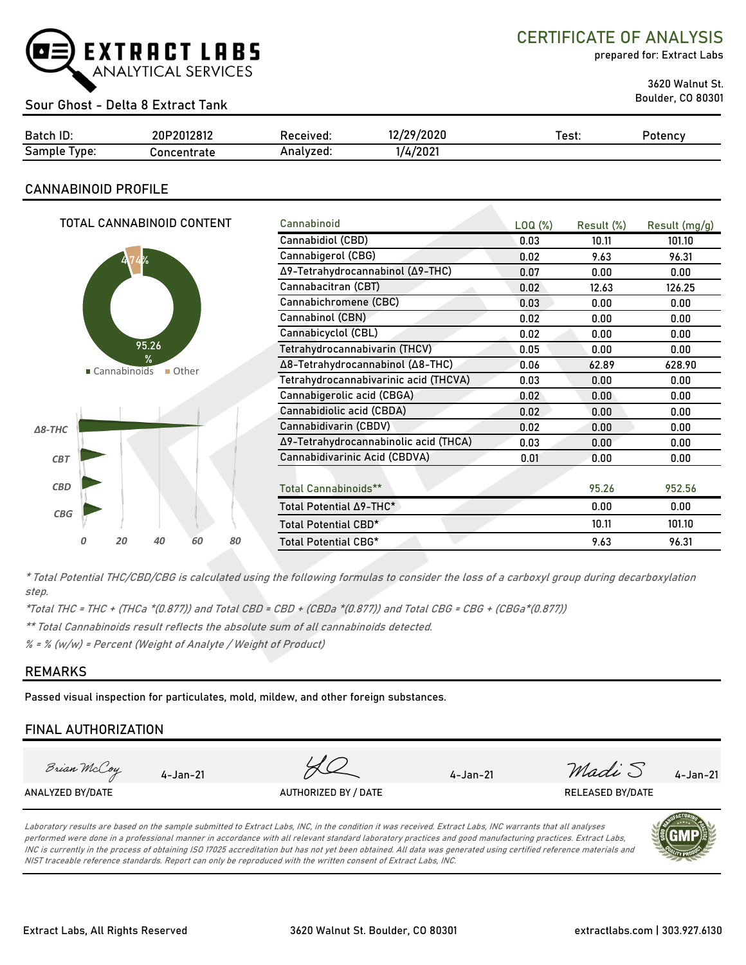

# CERTIFICATE OF ANALYSIS

prepared for: Extract Labs

3620 Walnut St.

# Boulder, CO 80301 Sour Ghost - Delta 8 Extract Tank

| Batch ID:     | 20P2012812  | Received: | /29/2020        | est: | Potency |
|---------------|-------------|-----------|-----------------|------|---------|
| Samp<br>'vpe: | `oncentrate | Analvzed. | 4/2021<br>17. J |      |         |

# **CANNABINOID PROFILE**

| TOTAL CANNABINOID CONTENT    | Cannabinoid                           | LOQ( <sub>%</sub> ) | Result (%) | Result (mg/g) |
|------------------------------|---------------------------------------|---------------------|------------|---------------|
|                              | Cannabidiol (CBD)                     | 0.03                | 10.11      | 101.10        |
| ķ.                           | Cannabigerol (CBG)                    | 0.02                | 9.63       | 96.31         |
|                              | Δ9-Tetrahydrocannabinol (Δ9-THC)      | 0.07                | 0.00       | 0.00          |
|                              | Cannabacitran (CBT)                   | 0.02                | 12.63      | 126.25        |
|                              | Cannabichromene (CBC)                 | 0.03                | 0.00       | 0.00          |
|                              | Cannabinol (CBN)                      | 0.02                | 0.00       | 0.00          |
|                              | Cannabicyclol (CBL)                   | 0.02                | 0.00       | 0.00          |
| 95.26                        | Tetrahydrocannabivarin (THCV)         | 0.05                | 0.00       | 0.00          |
| ℀<br>■ Cannabinoids<br>Other | Δ8-Tetrahydrocannabinol (Δ8-THC)      | 0.06                | 62.89      | 628.90        |
|                              | Tetrahydrocannabivarinic acid (THCVA) | 0.03                | 0.00       | 0.00          |
|                              | Cannabigerolic acid (CBGA)            | 0.02                | 0.00       | 0.00          |
|                              | Cannabidiolic acid (CBDA)             | 0.02                | 0.00       | 0.00          |
| $\Delta$ 8-THC               | Cannabidivarin (CBDV)                 | 0.02                | 0.00       | 0.00          |
|                              | Δ9-Tetrahydrocannabinolic acid (THCA) | 0.03                | 0.00       | 0.00          |
| CBT                          | Cannabidivarinic Acid (CBDVA)         | 0.01                | 0.00       | 0.00          |
|                              |                                       |                     |            |               |
| <b>CBD</b>                   | Total Cannabinoids**                  |                     | 95.26      | 952.56        |
| CBG                          | Total Potential ∆9-THC*               |                     | 0.00       | 0.00          |
|                              | Total Potential CBD*                  |                     | 10.11      | 101.10        |
| 60<br>80<br>20<br>40         | Total Potential CBG*                  |                     | 9.63       | 96.31         |

\* Total Potential THC/CBD/CBG is calculated using the following formulas to consider the loss of a carboxyl group during decarboxylation step.

\*Total THC = THC + (THCa \*(0.877)) and Total CBD = CBD + (CBDa \*(0.877)) and Total CBG = CBG + (CBGa\*(0.877))

\*\* Total Cannabinoids result reflects the absolute sum of all cannabinoids detected.

% = % (w/w) = Percent (Weight of Analyte / Weight of Product)

## **REMARKS**

Passed visual inspection for particulates, mold, mildew, and other foreign substances.

# **FINAL AUTHORIZATION**

| Brian McCoy      | 4-Jan-21 |                      | $4 - Jan - 21$ | Madi S                  | $4 - Jan - 21$ |
|------------------|----------|----------------------|----------------|-------------------------|----------------|
| ANALYZED BY/DATE |          | AUTHORIZED BY / DATE |                | <b>RELEASED BY/DATE</b> |                |
|                  |          |                      |                |                         |                |

Laboratory results are based on the sample submitted to Extract Labs, INC, in the condition it was received. Extract Labs, INC warrants that all analyses performed were done in a professional manner in accordance with all relevant standard laboratory practices and good manufacturing practices. Extract Labs, INC is currently in the process of obtaining ISO 17025 accreditation but has not yet been obtained. All data was generated using certified reference materials and NIST traceable reference standards. Report can only be reproduced with the written consent of Extract Labs, INC.

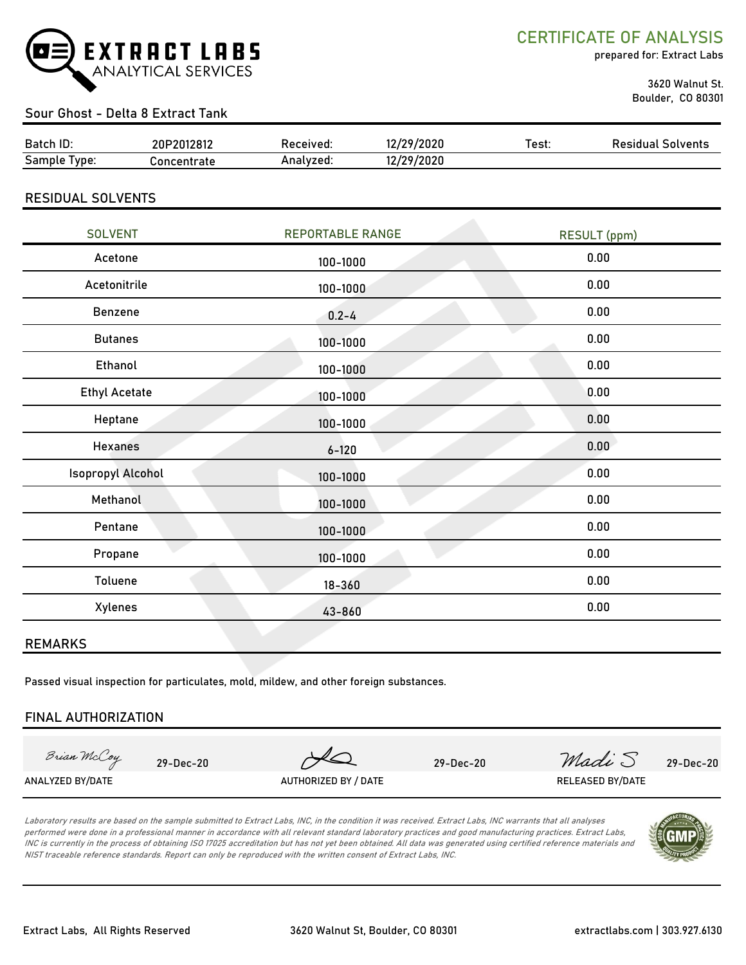

CERTIFICATE OF ANALYSIS

prepared for: Extract Labs

 3620 Walnut St. Boulder, CO 80301

# Sour Ghost - Delta 8 Extract Tank

| Batch ID:       | 20P2012812  | Received: | 12/29/2020 | ±est: | Residual Solvents |
|-----------------|-------------|-----------|------------|-------|-------------------|
| Sample<br>Tvpe: | `oncentrate | Analvzed: | 12/29/2020 |       |                   |

RESIDUAL SOLVENTS

| <b>SOLVENT</b>           | <b>REPORTABLE RANGE</b> | <b>RESULT</b> (ppm) |
|--------------------------|-------------------------|---------------------|
| Acetone                  | 100-1000                | 0.00                |
| Acetonitrile             | 100-1000                | 0.00                |
| Benzene                  | $0.2 - 4$               | 0.00                |
| <b>Butanes</b>           | 100-1000                | 0.00                |
| Ethanol                  | 100-1000                | 0.00                |
| <b>Ethyl Acetate</b>     | 100-1000                | 0.00                |
| Heptane                  | 100-1000                | 0.00                |
| <b>Hexanes</b>           | $6 - 120$               | 0.00                |
| <b>Isopropyl Alcohol</b> | 100-1000                | 0.00                |
| Methanol                 | 100-1000                | 0.00                |
| Pentane                  | 100-1000                | 0.00                |
| Propane                  | 100-1000                | 0.00                |
| Toluene                  | $18 - 360$              | 0.00                |
| Xylenes                  | 43-860                  | 0.00                |

#### REMARKS

Passed visual inspection for particulates, mold, mildew, and other foreign substances.

#### FINAL AUTHORIZATION

Brian McCoy

ANALYZED BY/DATE AUTHORIZED BY / DATE AUTHORIZED BY / DATE RELEASED BY/DATE

29-Dec-20 29-Dec-20 *Madi* S 29-Dec-20

Laboratory results are based on the sample submitted to Extract Labs, INC, in the condition it was received. Extract Labs, INC warrants that all analyses performed were done in a professional manner in accordance with all relevant standard laboratory practices and good manufacturing practices. Extract Labs, INC is currently in the process of obtaining ISO 17025 accreditation but has not yet been obtained. All data was generated using certified reference materials and NIST traceable reference standards. Report can only be reproduced with the written consent of Extract Labs, INC.